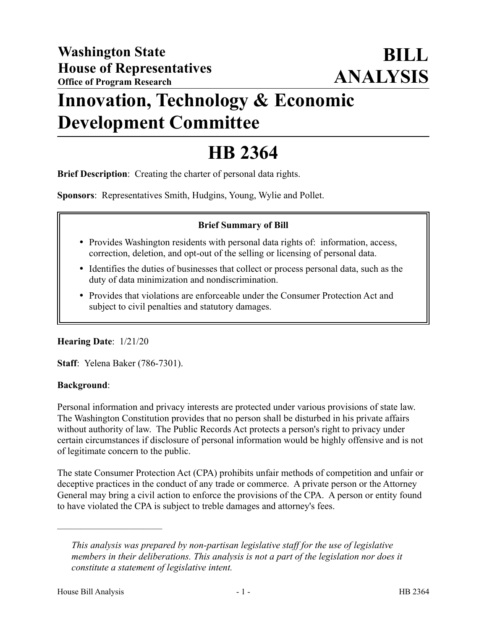# **Innovation, Technology & Economic Development Committee**

# **HB 2364**

**Brief Description**: Creating the charter of personal data rights.

**Sponsors**: Representatives Smith, Hudgins, Young, Wylie and Pollet.

# **Brief Summary of Bill**

- Provides Washington residents with personal data rights of: information, access, correction, deletion, and opt-out of the selling or licensing of personal data.
- Identifies the duties of businesses that collect or process personal data, such as the duty of data minimization and nondiscrimination.
- Provides that violations are enforceable under the Consumer Protection Act and subject to civil penalties and statutory damages.

# **Hearing Date**: 1/21/20

**Staff**: Yelena Baker (786-7301).

# **Background**:

Personal information and privacy interests are protected under various provisions of state law. The Washington Constitution provides that no person shall be disturbed in his private affairs without authority of law. The Public Records Act protects a person's right to privacy under certain circumstances if disclosure of personal information would be highly offensive and is not of legitimate concern to the public.

The state Consumer Protection Act (CPA) prohibits unfair methods of competition and unfair or deceptive practices in the conduct of any trade or commerce. A private person or the Attorney General may bring a civil action to enforce the provisions of the CPA. A person or entity found to have violated the CPA is subject to treble damages and attorney's fees.

––––––––––––––––––––––

*This analysis was prepared by non-partisan legislative staff for the use of legislative members in their deliberations. This analysis is not a part of the legislation nor does it constitute a statement of legislative intent.*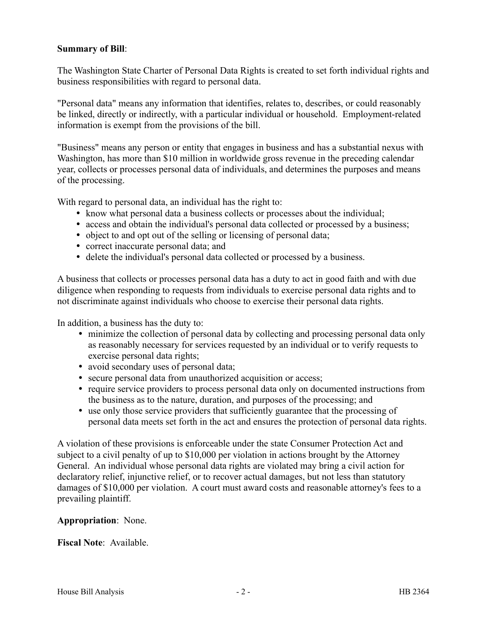### **Summary of Bill**:

The Washington State Charter of Personal Data Rights is created to set forth individual rights and business responsibilities with regard to personal data.

"Personal data" means any information that identifies, relates to, describes, or could reasonably be linked, directly or indirectly, with a particular individual or household. Employment-related information is exempt from the provisions of the bill.

"Business" means any person or entity that engages in business and has a substantial nexus with Washington, has more than \$10 million in worldwide gross revenue in the preceding calendar year, collects or processes personal data of individuals, and determines the purposes and means of the processing.

With regard to personal data, an individual has the right to:

- know what personal data a business collects or processes about the individual;
- access and obtain the individual's personal data collected or processed by a business;
- object to and opt out of the selling or licensing of personal data;
- correct inaccurate personal data; and
- delete the individual's personal data collected or processed by a business.

A business that collects or processes personal data has a duty to act in good faith and with due diligence when responding to requests from individuals to exercise personal data rights and to not discriminate against individuals who choose to exercise their personal data rights.

In addition, a business has the duty to:

- minimize the collection of personal data by collecting and processing personal data only as reasonably necessary for services requested by an individual or to verify requests to exercise personal data rights;
- avoid secondary uses of personal data;
- secure personal data from unauthorized acquisition or access;
- require service providers to process personal data only on documented instructions from the business as to the nature, duration, and purposes of the processing; and
- use only those service providers that sufficiently guarantee that the processing of personal data meets set forth in the act and ensures the protection of personal data rights.

A violation of these provisions is enforceable under the state Consumer Protection Act and subject to a civil penalty of up to \$10,000 per violation in actions brought by the Attorney General. An individual whose personal data rights are violated may bring a civil action for declaratory relief, injunctive relief, or to recover actual damages, but not less than statutory damages of \$10,000 per violation. A court must award costs and reasonable attorney's fees to a prevailing plaintiff.

#### **Appropriation**: None.

**Fiscal Note**: Available.